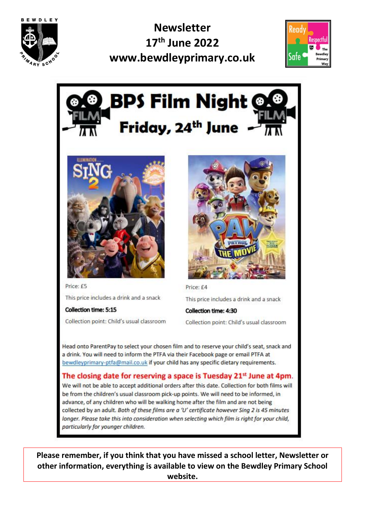

**Newsletter** 17<sup>th</sup> June 2022 www.bewdleyprimary.co.uk







Price: £5 This price includes a drink and a snack

Collection point: Child's usual classroom

**Collection time: 5:15** 



Price: £4

This price includes a drink and a snack

Collection time: 4:30 Collection point: Child's usual classroom

Head onto ParentPay to select your chosen film and to reserve your child's seat, snack and a drink. You will need to inform the PTFA via their Facebook page or email PTFA at bewdleyprimary-ptfa@mail.co.uk if your child has any specific dietary requirements.

#### The closing date for reserving a space is Tuesday 21<sup>st</sup> June at 4pm.

We will not be able to accept additional orders after this date. Collection for both films will be from the children's usual classroom pick-up points. We will need to be informed, in advance, of any children who will be walking home after the film and are not being collected by an adult. Both of these films are a 'U' certificate however Sing 2 is 45 minutes longer. Please take this into consideration when selecting which film is right for your child, particularly for younger children.

Please remember, if you think that you have missed a school letter, Newsletter or other information, everything is available to view on the Bewdley Primary School website.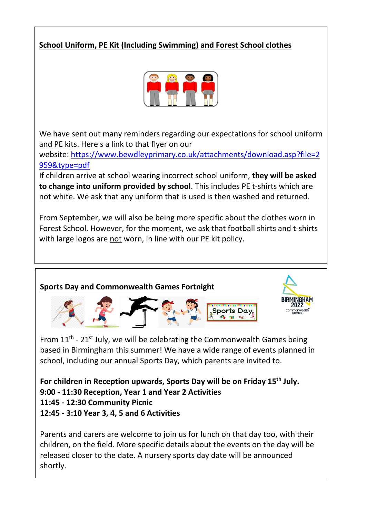#### **School Uniform, PE Kit (Including Swimming) and Forest School clothes**



We have sent out many reminders regarding our expectations for school uniform and PE kits. Here's a link to that flyer on our

website: [https://www.bewdleyprimary.co.uk/attachments/download.asp?file=2](https://www.bewdleyprimary.co.uk/attachments/download.asp?file=2959&type=pdf) [959&type=pdf](https://www.bewdleyprimary.co.uk/attachments/download.asp?file=2959&type=pdf)

If children arrive at school wearing incorrect school uniform, **they will be asked to change into uniform provided by school**. This includes PE t-shirts which are not white. We ask that any uniform that is used is then washed and returned.

From September, we will also be being more specific about the clothes worn in Forest School. However, for the moment, we ask that football shirts and t-shirts with large logos are not worn, in line with our PE kit policy.

# **Sports Day and Commonwealth Games Fortnight**

From  $11<sup>th</sup>$  -  $21<sup>st</sup>$  July, we will be celebrating the Commonwealth Games being based in Birmingham this summer! We have a wide range of events planned in school, including our annual Sports Day, which parents are invited to.

**For children in Reception upwards, Sports Day will be on Friday 15th July. 9:00 - 11:30 Reception, Year 1 and Year 2 Activities 11:45 - 12:30 Community Picnic 12:45 - 3:10 Year 3, 4, 5 and 6 Activities**

Parents and carers are welcome to join us for lunch on that day too, with their children, on the field. More specific details about the events on the day will be released closer to the date. A nursery sports day date will be announced shortly.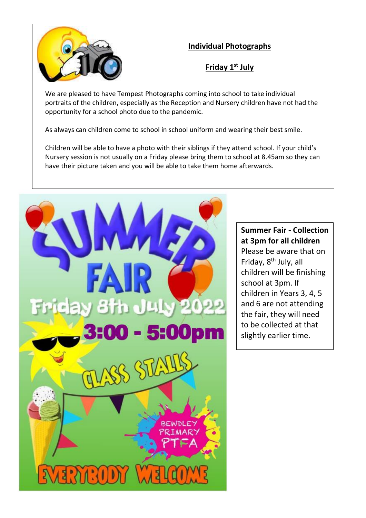

#### **Individual Photographs**

#### **Friday 1st July**

We are pleased to have Tempest Photographs coming into school to take individual portraits of the children, especially as the Reception and Nursery children have not had the opportunity for a school photo due to the pandemic.

As always can children come to school in school uniform and wearing their best smile.

Children will be able to have a photo with their siblings if they attend school. If your child's Nursery session is not usually on a Friday please bring them to school at 8.45am so they can have their picture taken and you will be able to take them home afterwards.



#### **Summer Fair - Collection at 3pm for all children** Please be aware that on Friday, 8<sup>th</sup> July, all children will be finishing school at 3pm. If children in Years 3, 4, 5 and 6 are not attending the fair, they will need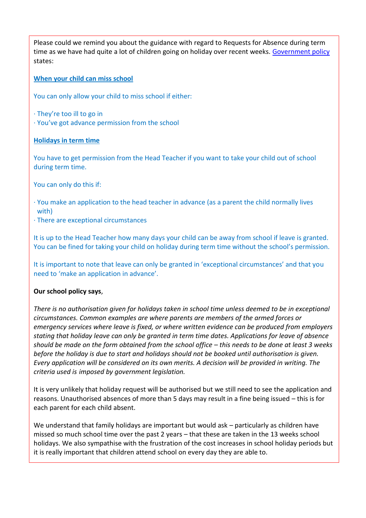Please could we remind you about the guidance with regard to Requests for Absence during term time as we have had quite a lot of children going on holiday over recent weeks. [Government policy](https://www.gov.uk/school-attendance-absence) states:

#### **When your child can miss school**

You can only allow your child to miss school if either:

- · They're too ill to go in
- · You've got advance permission from the school

#### **Holidays in term time**

You have to get permission from the Head Teacher if you want to take your child out of school during term time.

You can only do this if:

- · You make an application to the head teacher in advance (as a parent the child normally lives with)
- · There are exceptional circumstances

It is up to the Head Teacher how many days your child can be away from school if leave is granted. You can be fined for taking your child on holiday during term time without the school's permission.

It is important to note that leave can only be granted in 'exceptional circumstances' and that you need to 'make an application in advance'.

#### **Our school policy says**,

*There is no authorisation given for holidays taken in school time unless deemed to be in exceptional circumstances. Common examples are where parents are members of the armed forces or emergency services where leave is fixed, or where written evidence can be produced from employers stating that holiday leave can only be granted in term time dates. Applications for leave of absence should be made on the form obtained from the school office – this needs to be done at least 3 weeks before the holiday is due to start and holidays should not be booked until authorisation is given. Every application will be considered on its own merits. A decision will be provided in writing. The criteria used is imposed by government legislation.*

It is very unlikely that holiday request will be authorised but we still need to see the application and reasons. Unauthorised absences of more than 5 days may result in a fine being issued – this is for each parent for each child absent.

We understand that family holidays are important but would ask – particularly as children have missed so much school time over the past 2 years – that these are taken in the 13 weeks school holidays. We also sympathise with the frustration of the cost increases in school holiday periods but it is really important that children attend school on every day they are able to.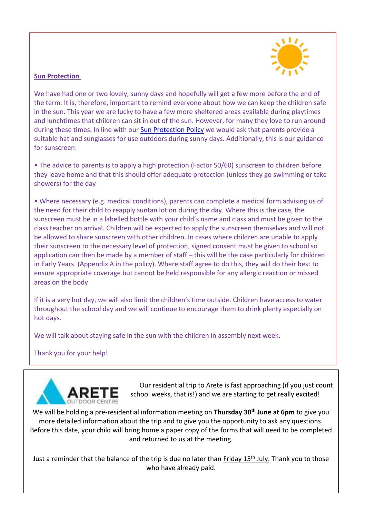

#### **Sun Protection**

We have had one or two lovely, sunny days and hopefully will get a few more before the end of the term. It is, therefore, important to remind everyone about how we can keep the children safe in the sun. This year we are lucky to have a few more sheltered areas available during playtimes and lunchtimes that children can sit in out of the sun. However, for many they love to run around during these times. In line with our **Sun Protection Policy** we would ask that parents provide a suitable hat and sunglasses for use outdoors during sunny days. Additionally, this is our guidance for sunscreen:

• The advice to parents is to apply a high protection (Factor 50/60) sunscreen to children before they leave home and that this should offer adequate protection (unless they go swimming or take showers) for the day

• Where necessary (e.g. medical conditions), parents can complete a medical form advising us of the need for their child to reapply suntan lotion during the day. Where this is the case, the sunscreen must be in a labelled bottle with your child's name and class and must be given to the class teacher on arrival. Children will be expected to apply the sunscreen themselves and will not be allowed to share sunscreen with other children. In cases where children are unable to apply their sunscreen to the necessary level of protection, signed consent must be given to school so application can then be made by a member of staff – this will be the case particularly for children in Early Years. (Appendix A in the policy). Where staff agree to do this, they will do their best to ensure appropriate coverage but cannot be held responsible for any allergic reaction or missed areas on the body

If it is a very hot day, we will also limit the children's time outside. Children have access to water throughout the school day and we will continue to encourage them to drink plenty especially on hot days.

We will talk about staying safe in the sun with the children in assembly next week.

#### Thank you for your help!



Our residential trip to Arete is fast approaching (if you just count school weeks, that is!) and we are starting to get really excited!

We will be holding a pre-residential information meeting on **Thursday 30th June at 6pm** to give you more detailed information about the trip and to give you the opportunity to ask any questions. Before this date, your child will bring home a paper copy of the forms that will need to be completed and returned to us at the meeting.

Just a reminder that the balance of the trip is due no later than Friday 15<sup>th</sup> July. Thank you to those who have already paid.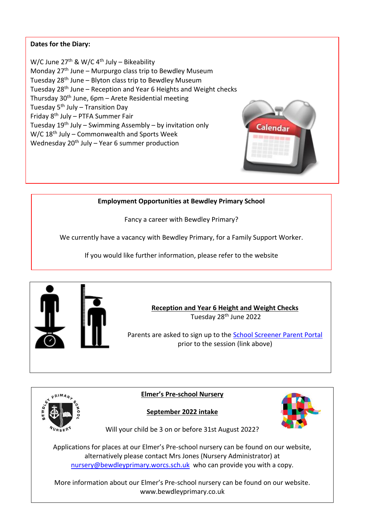#### **Dates for the Diary:**

W/C June  $27^{\text{th}}$  & W/C 4<sup>th</sup> July – Bikeability Monday 27<sup>th</sup> June – Murpurgo class trip to Bewdley Museum Tuesday  $28<sup>th</sup>$  June – Blyton class trip to Bewdley Museum Tuesday  $28<sup>th</sup>$  June – Reception and Year 6 Heights and Weight checks Thursday  $30<sup>th</sup>$  June,  $6pm -$  Arete Residential meeting Tuesday  $5<sup>th</sup>$  July – Transition Day Friday 8th July – PTFA Summer Fair Tuesday  $19<sup>th</sup>$  July – Swimming Assembly – by invitation only W/C 18th July – Commonwealth and Sports Week Wednesday  $20<sup>th</sup>$  July – Year 6 summer production



Fancy a career with Bewdley Primary?

We currently have a vacancy with Bewdley Primary, for a Family Support Worker.

If you would like further information, please refer to the website





**Elmer's Pre-school Nursery**



**Calendar** 

**September 2022 intake**

Will your child be 3 on or before 31st August 2022?

Applications for places at our Elmer's Pre-school nursery can be found on our website, alternatively please contact Mrs Jones (Nursery Administrator) at [nursery@bewdleyprimary.worcs.sch.uk](mailto:nursery@bewdleyprimary.worcs.sch.uk) who can provide you with a copy.

More information about our Elmer's Pre-school nursery can be found on our website. www.bewdleyprimary.co.uk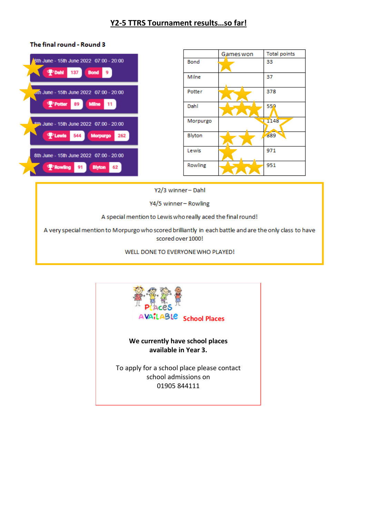#### The final round - Round 3

| 8th June - 15th June 2022 07:00 - 20:00<br>$\mathbf{\Psi}$ Dahi<br>137<br><b>Bond</b>       |
|---------------------------------------------------------------------------------------------|
| June - 15th June 2022 07:00 - 20:00<br><b>P</b> Potter<br>89<br><b>Milne</b><br>11          |
| <sup>9th</sup> June - 15th June 2022 07:00 - 20:00<br>544 Morpurgo<br><b>P</b> Lewis<br>262 |
| 8th June - 15th June 2022 07:00 - 20:00<br><b>P</b> Rowling<br>91<br><b>Blyton</b><br>62    |

|          | Games won | <b>Total points</b> |
|----------|-----------|---------------------|
| Bond     |           | 33                  |
| Milne    |           | 37                  |
| Potter   |           | 378                 |
| Dahl     |           | 559                 |
| Morpurgo |           | 1148                |
| Blyton   |           | 889                 |
| Lewis    |           | 971                 |
| Rowling  |           | 951                 |

Y2/3 winner-Dahl

Y4/5 winner-Rowling

A special mention to Lewis who really aced the final round!

A very special mention to Morpurgo who scored brilliantly in each battle and are the only class to have scored over 1000!

WELL DONE TO EVERYONE WHO PLAYED!